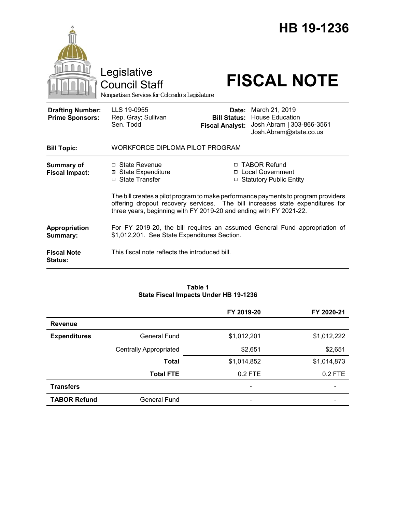|                                                   | Legislative<br><b>Council Staff</b><br>Nonpartisan Services for Colorado's Legislature                                                                                                                                                    |                                               | HB 19-1236<br><b>FISCAL NOTE</b>                                                                      |  |
|---------------------------------------------------|-------------------------------------------------------------------------------------------------------------------------------------------------------------------------------------------------------------------------------------------|-----------------------------------------------|-------------------------------------------------------------------------------------------------------|--|
| <b>Drafting Number:</b><br><b>Prime Sponsors:</b> | LLS 19-0955<br>Rep. Gray; Sullivan<br>Sen. Todd                                                                                                                                                                                           | <b>Bill Status:</b><br><b>Fiscal Analyst:</b> | Date: March 21, 2019<br><b>House Education</b><br>Josh Abram   303-866-3561<br>Josh.Abram@state.co.us |  |
| <b>Bill Topic:</b>                                | WORKFORCE DIPLOMA PILOT PROGRAM                                                                                                                                                                                                           |                                               |                                                                                                       |  |
| <b>Summary of</b><br><b>Fiscal Impact:</b>        | □ State Revenue<br>⊠ State Expenditure<br>□ State Transfer                                                                                                                                                                                |                                               | □ TABOR Refund<br>□ Local Government<br>□ Statutory Public Entity                                     |  |
|                                                   | The bill creates a pilot program to make performance payments to program providers<br>offering dropout recovery services. The bill increases state expenditures for<br>three years, beginning with FY 2019-20 and ending with FY 2021-22. |                                               |                                                                                                       |  |
| Appropriation<br>Summary:                         | For FY 2019-20, the bill requires an assumed General Fund appropriation of<br>\$1,012,201. See State Expenditures Section.                                                                                                                |                                               |                                                                                                       |  |
| <b>Fiscal Note</b><br><b>Status:</b>              | This fiscal note reflects the introduced bill.                                                                                                                                                                                            |                                               |                                                                                                       |  |

#### **Table 1 State Fiscal Impacts Under HB 19-1236**

|                     |                               | FY 2019-20               | FY 2020-21  |
|---------------------|-------------------------------|--------------------------|-------------|
| <b>Revenue</b>      |                               |                          |             |
| <b>Expenditures</b> | General Fund                  | \$1,012,201              | \$1,012,222 |
|                     | <b>Centrally Appropriated</b> | \$2,651                  | \$2,651     |
|                     | <b>Total</b>                  | \$1,014,852              | \$1,014,873 |
|                     | <b>Total FTE</b>              | $0.2$ FTE                | $0.2$ FTE   |
| <b>Transfers</b>    |                               | $\overline{\phantom{a}}$ |             |
| <b>TABOR Refund</b> | General Fund                  | -                        |             |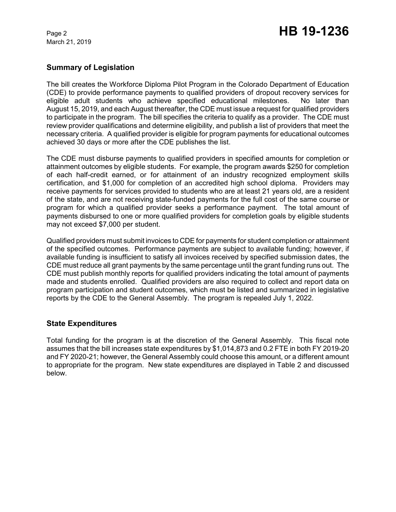March 21, 2019

## **Summary of Legislation**

The bill creates the Workforce Diploma Pilot Program in the Colorado Department of Education (CDE) to provide performance payments to qualified providers of dropout recovery services for eligible adult students who achieve specified educational milestones. No later than August 15, 2019, and each August thereafter, the CDE must issue a request for qualified providers to participate in the program. The bill specifies the criteria to qualify as a provider. The CDE must review provider qualifications and determine eligibility, and publish a list of providers that meet the necessary criteria. A qualified provider is eligible for program payments for educational outcomes achieved 30 days or more after the CDE publishes the list.

The CDE must disburse payments to qualified providers in specified amounts for completion or attainment outcomes by eligible students. For example, the program awards \$250 for completion of each half-credit earned, or for attainment of an industry recognized employment skills certification, and \$1,000 for completion of an accredited high school diploma. Providers may receive payments for services provided to students who are at least 21 years old, are a resident of the state, and are not receiving state-funded payments for the full cost of the same course or program for which a qualified provider seeks a performance payment. The total amount of payments disbursed to one or more qualified providers for completion goals by eligible students may not exceed \$7,000 per student.

Qualified providers must submit invoices to CDE for payments for student completion or attainment of the specified outcomes. Performance payments are subject to available funding; however, if available funding is insufficient to satisfy all invoices received by specified submission dates, the CDE must reduce all grant payments by the same percentage until the grant funding runs out. The CDE must publish monthly reports for qualified providers indicating the total amount of payments made and students enrolled. Qualified providers are also required to collect and report data on program participation and student outcomes, which must be listed and summarized in legislative reports by the CDE to the General Assembly. The program is repealed July 1, 2022.

#### **State Expenditures**

Total funding for the program is at the discretion of the General Assembly. This fiscal note assumes that the bill increases state expenditures by \$1,014,873 and 0.2 FTE in both FY 2019-20 and FY 2020-21; however, the General Assembly could choose this amount, or a different amount to appropriate for the program. New state expenditures are displayed in Table 2 and discussed below.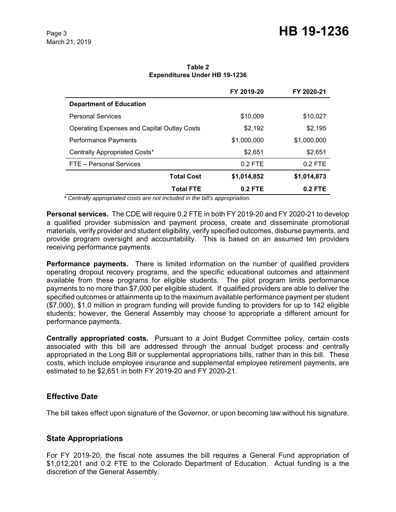|                                                    | FY 2019-20  | FY 2020-21  |
|----------------------------------------------------|-------------|-------------|
| <b>Department of Education</b>                     |             |             |
| <b>Personal Services</b>                           | \$10,009    | \$10,027    |
| <b>Operating Expenses and Capital Outlay Costs</b> | \$2,192     | \$2,195     |
| <b>Performance Payments</b>                        | \$1,000,000 | \$1,000,000 |
| Centrally Appropriated Costs*                      | \$2,651     | \$2,651     |
| FTE - Personal Services                            | $0.2$ FTE   | $0.2$ FTE   |
| <b>Total Cost</b>                                  | \$1,014,852 | \$1,014,873 |
| <b>Total FTE</b>                                   | $0.2$ FTE   | 0.2 FTE     |

**Table 2 Expenditures Under HB 19-1236**

 *\* Centrally appropriated costs are not included in the bill's appropriation.*

**Personal services.** The CDE will require 0.2 FTE in both FY 2019-20 and FY 2020-21 to develop a qualified provider submission and payment process, create and disseminate promotional materials, verify provider and student eligibility, verify specified outcomes, disburse payments, and provide program oversight and accountability. This is based on an assumed ten providers receiving performance payments.

**Performance payments.** There is limited information on the number of qualified providers operating dropout recovery programs, and the specific educational outcomes and attainment available from these programs for eligible students. The pilot program limits performance payments to no more than \$7,000 per eligible student. If qualified providers are able to deliver the specified outcomes or attainments up to the maximum available performance payment per student (\$7,000), \$1.0 million in program funding will provide funding to providers for up to 142 eligible students; however, the General Assembly may choose to appropriate a different amount for performance payments.

**Centrally appropriated costs.** Pursuant to a Joint Budget Committee policy, certain costs associated with this bill are addressed through the annual budget process and centrally appropriated in the Long Bill or supplemental appropriations bills, rather than in this bill. These costs, which include employee insurance and supplemental employee retirement payments, are estimated to be \$2,651 in both FY 2019-20 and FY 2020-21.

#### **Effective Date**

The bill takes effect upon signature of the Governor, or upon becoming law without his signature.

## **State Appropriations**

For FY 2019-20, the fiscal note assumes the bill requires a General Fund appropriation of \$1,012,201 and 0.2 FTE to the Colorado Department of Education. Actual funding is a the discretion of the General Assembly.